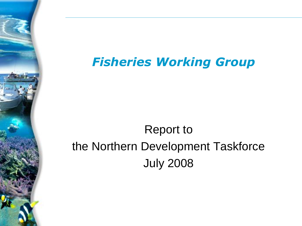#### *Fisheries Working Group*

# Report to the Northern Development Taskforce July 2008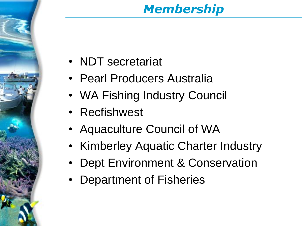## *Membership*

- NDT secretariat
- Pearl Producers Australia
- WA Fishing Industry Council
- Recfishwest
- Aquaculture Council of WA
- Kimberley Aquatic Charter Industry
- Dept Environment & Conservation
- Department of Fisheries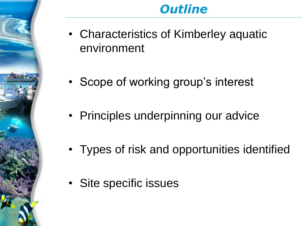#### *Outline*

- Characteristics of Kimberley aquatic environment
- Scope of working group's interest
- Principles underpinning our advice
- Types of risk and opportunities identified
- Site specific issues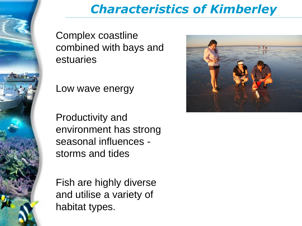

## *Characteristics of Kimberley*

Complex coastline combined with bays and estuaries

Low wave energy

Productivity and environment has strong seasonal influences storms and tides

Fish are highly diverse and utilise a variety of habitat types.

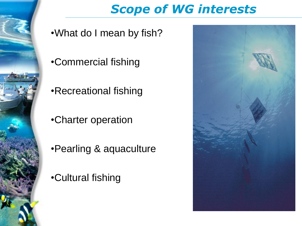

## *Scope of WG interests*

- •What do I mean by fish?
- •Commercial fishing
- •Recreational fishing
- •Charter operation
- •Pearling & aquaculture
- •Cultural fishing

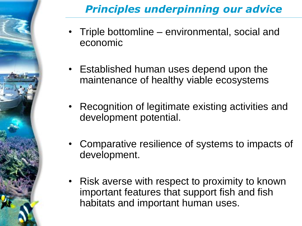## *Principles underpinning our advice*

- Triple bottomline environmental, social and economic
- Established human uses depend upon the maintenance of healthy viable ecosystems
- Recognition of legitimate existing activities and development potential.
- Comparative resilience of systems to impacts of development.
- Risk averse with respect to proximity to known important features that support fish and fish habitats and important human uses.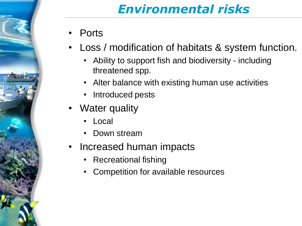## *Environmental risks*

- **Ports**
- Loss / modification of habitats & system function.
	- Ability to support fish and biodiversity including threatened spp.
	- Alter balance with existing human use activities
	- Introduced pests
- Water quality
	- Local
	- Down stream
- Increased human impacts
	- Recreational fishing
	- Competition for available resources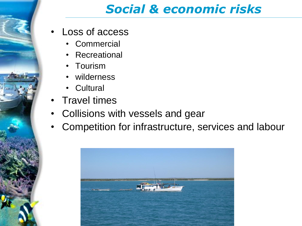#### *Social & economic risks*

- Loss of access
	- Commercial
	- **Recreational**
	- Tourism
	- wilderness
	- **Cultural**
- Travel times
- Collisions with vessels and gear
- Competition for infrastructure, services and labour

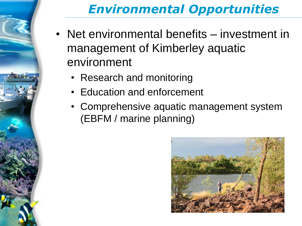## *Environmental Opportunities*

- Net environmental benefits investment in management of Kimberley aquatic environment
	- Research and monitoring
	- Education and enforcement
	- Comprehensive aquatic management system (EBFM / marine planning)

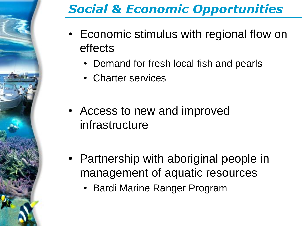## *Social & Economic Opportunities*

- Economic stimulus with regional flow on effects
	- Demand for fresh local fish and pearls
	- Charter services
- Access to new and improved infrastructure
- Partnership with aboriginal people in management of aquatic resources
	- Bardi Marine Ranger Program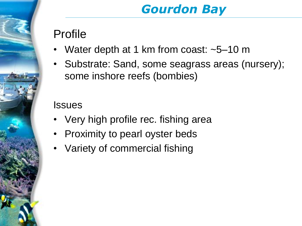## *Gourdon Bay*

#### Profile

- Water depth at 1 km from coast: ~5–10 m
- Substrate: Sand, some seagrass areas (nursery); some inshore reefs (bombies)

- Very high profile rec. fishing area
- Proximity to pearl oyster beds
- Variety of commercial fishing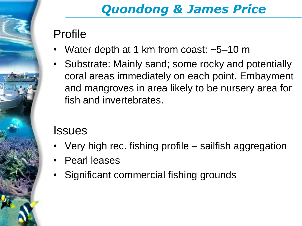## *Quondong & James Price*

#### Profile

- Water depth at 1 km from coast: ~5–10 m
- Substrate: Mainly sand; some rocky and potentially coral areas immediately on each point. Embayment and mangroves in area likely to be nursery area for fish and invertebrates.

- Very high rec. fishing profile sailfish aggregation
- Pearl leases
- Significant commercial fishing grounds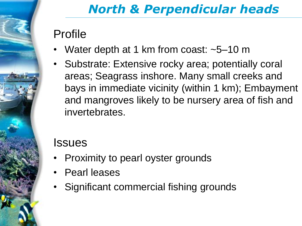# *North & Perpendicular heads*

#### Profile

- Water depth at 1 km from coast: ~5–10 m
- Substrate: Extensive rocky area; potentially coral areas; Seagrass inshore. Many small creeks and bays in immediate vicinity (within 1 km); Embayment and mangroves likely to be nursery area of fish and invertebrates.

- Proximity to pearl oyster grounds
- Pearl leases
- Significant commercial fishing grounds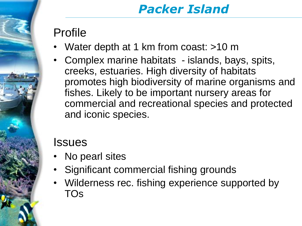## *Packer Island*

#### Profile

- Water depth at 1 km from coast: >10 m
- Complex marine habitats islands, bays, spits, creeks, estuaries. High diversity of habitats promotes high biodiversity of marine organisms and fishes. Likely to be important nursery areas for commercial and recreational species and protected and iconic species.

- No pearl sites
- Significant commercial fishing grounds
- Wilderness rec. fishing experience supported by TOs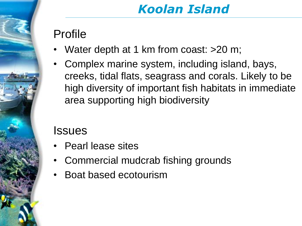## *Koolan Island*

#### Profile

- Water depth at 1 km from coast: >20 m;
- Complex marine system, including island, bays, creeks, tidal flats, seagrass and corals. Likely to be high diversity of important fish habitats in immediate area supporting high biodiversity

- Pearl lease sites
- Commercial mudcrab fishing grounds
- Boat based ecotourism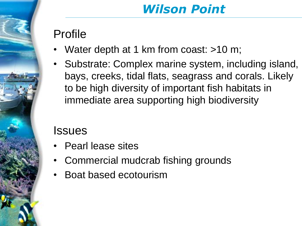## *Wilson Point*

#### Profile

- Water depth at 1 km from coast: >10 m;
- Substrate: Complex marine system, including island, bays, creeks, tidal flats, seagrass and corals. Likely to be high diversity of important fish habitats in immediate area supporting high biodiversity

- Pearl lease sites
- Commercial mudcrab fishing grounds
- Boat based ecotourism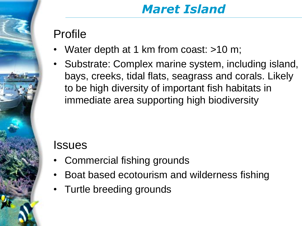### *Maret Island*

#### Profile

- Water depth at 1 km from coast: >10 m;
- Substrate: Complex marine system, including island, bays, creeks, tidal flats, seagrass and corals. Likely to be high diversity of important fish habitats in immediate area supporting high biodiversity

- Commercial fishing grounds
- Boat based ecotourism and wilderness fishing
- Turtle breeding grounds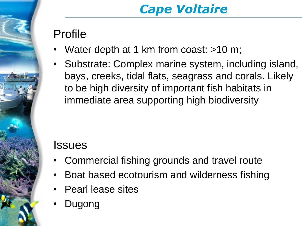## *Cape Voltaire*

#### Profile

- Water depth at 1 km from coast: >10 m;
- Substrate: Complex marine system, including island, bays, creeks, tidal flats, seagrass and corals. Likely to be high diversity of important fish habitats in immediate area supporting high biodiversity

- Commercial fishing grounds and travel route
- Boat based ecotourism and wilderness fishing
- Pearl lease sites
- Dugong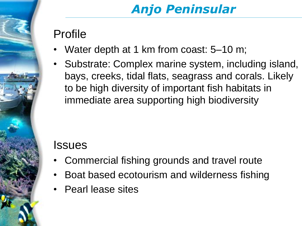# *Anjo Peninsular*

#### Profile

- Water depth at 1 km from coast: 5–10 m;
- Substrate: Complex marine system, including island, bays, creeks, tidal flats, seagrass and corals. Likely to be high diversity of important fish habitats in immediate area supporting high biodiversity

- Commercial fishing grounds and travel route
- Boat based ecotourism and wilderness fishing
- Pearl lease sites